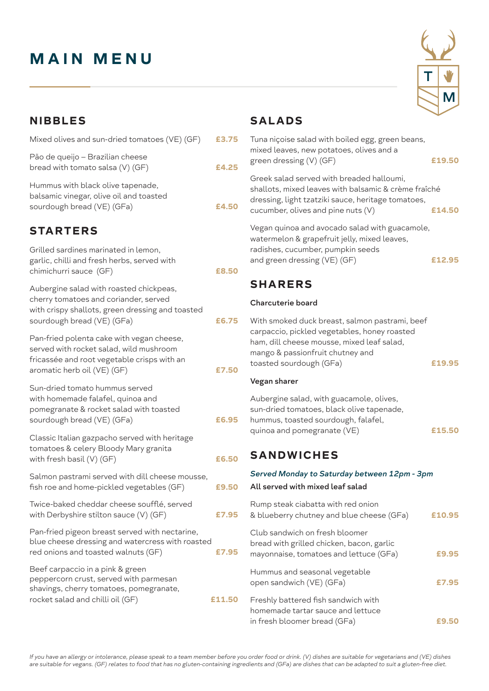# **MAIN MENU**

| Μ |
|---|

| SALADS |  |  |
|--------|--|--|
|        |  |  |

| 3.75         | Tuna niçoise salad with boiled egg, green beans,<br>mixed leaves, new potatoes, olives and a<br>green dressing (V) (GF)                                                                                     | £19.50 |
|--------------|-------------------------------------------------------------------------------------------------------------------------------------------------------------------------------------------------------------|--------|
| 1.25<br>1.50 | Greek salad served with breaded halloumi,<br>shallots, mixed leaves with balsamic & crème fraîché<br>dressing, light tzatziki sauce, heritage tomatoes,                                                     |        |
|              | cucumber, olives and pine nuts (V)                                                                                                                                                                          | £14.50 |
|              | Vegan quinoa and avocado salad with guacamole,<br>watermelon & grapefruit jelly, mixed leaves,<br>radishes, cucumber, pumpkin seeds<br>and green dressing (VE) (GF)                                         | £12.95 |
| 3.50         | <b>SHARERS</b>                                                                                                                                                                                              |        |
|              | <b>Charcuterie board</b>                                                                                                                                                                                    |        |
| 5.75<br>7.50 | With smoked duck breast, salmon pastrami, beef<br>carpaccio, pickled vegetables, honey roasted<br>ham, dill cheese mousse, mixed leaf salad,<br>mango & passionfruit chutney and<br>toasted sourdough (GFa) | £19.95 |
|              | Vegan sharer                                                                                                                                                                                                |        |
| 5.95         | Aubergine salad, with guacamole, olives,<br>sun-dried tomatoes, black olive tapenade,<br>hummus, toasted sourdough, falafel,<br>quinoa and pomegranate (VE)                                                 | £15.50 |
| 5.50         | <b>SANDWICHES</b>                                                                                                                                                                                           |        |
| .50          | Served Monday to Saturday between 12pm - 3pm<br>All served with mixed leaf salad                                                                                                                            |        |
| 7.95         | Rump steak ciabatta with red onion<br>& blueberry chutney and blue cheese (GFa)                                                                                                                             | £10.95 |
| 7.95         | Club sandwich on fresh bloomer<br>bread with grilled chicken, bacon, garlic<br>mayonnaise, tomatoes and lettuce (GFa)                                                                                       | £9.95  |
|              | Hummus and seasonal vegetable<br>open sandwich (VE) (GFa)                                                                                                                                                   | £7.95  |
|              |                                                                                                                                                                                                             |        |

| Freshly battered fish sandwich with |       |
|-------------------------------------|-------|
| homemade tartar sauce and lettuce   |       |
| in fresh bloomer bread (GFa)        | £9.50 |
|                                     |       |

### **NIBBLES**

| Mixed olives and sun-dried tomatoes (VE) (GF)                                                                                                                      | £3.75  |
|--------------------------------------------------------------------------------------------------------------------------------------------------------------------|--------|
| Pão de queijo – Brazilian cheese<br>bread with tomato salsa (V) (GF)                                                                                               | £4.25  |
| Hummus with black olive tapenade,<br>balsamic vinegar, olive oil and toasted<br>sourdough bread (VE) (GFa)                                                         | £4.50  |
| <b>STARTERS</b>                                                                                                                                                    |        |
| Grilled sardines marinated in lemon,<br>garlic, chilli and fresh herbs, served with<br>chimichurri sauce (GF)                                                      | £8.50  |
| Aubergine salad with roasted chickpeas,<br>cherry tomatoes and coriander, served<br>with crispy shallots, green dressing and toasted<br>sourdough bread (VE) (GFa) | £6.75  |
| Pan-fried polenta cake with vegan cheese,<br>served with rocket salad, wild mushroom<br>fricassée and root vegetable crisps with an<br>aromatic herb oil (VE) (GF) | £7.50  |
| Sun-dried tomato hummus served<br>with homemade falafel, quinoa and<br>pomegranate & rocket salad with toasted<br>sourdough bread (VE) (GFa)                       | £6.95  |
| Classic Italian gazpacho served with heritage<br>tomatoes & celery Bloody Mary granita<br>with fresh basil (V) (GF)                                                | £6.50  |
| Salmon pastrami served with dill cheese mousse,<br>fish roe and home-pickled vegetables (GF)                                                                       | £9.50  |
| Twice-baked cheddar cheese soufflé, served<br>with Derbyshire stilton sauce (V) (GF)                                                                               | £7.95  |
| Pan-fried pigeon breast served with nectarine,<br>blue cheese dressing and watercress with roasted<br>red onions and toasted walnuts (GF)                          | £7.95  |
| Beef carpaccio in a pink & green<br>peppercorn crust, served with parmesan<br>shavings, cherry tomatoes, pomegranate,<br>rocket salad and chilli oil (GF)          | £11.50 |